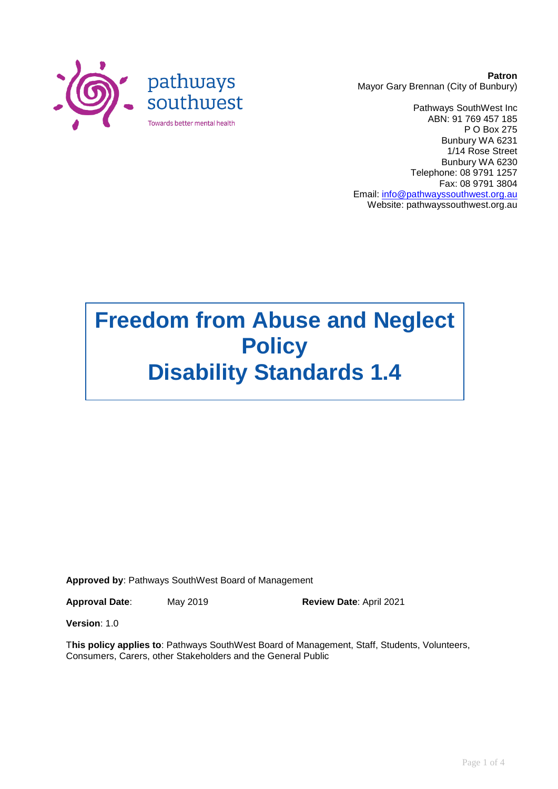

**Patron** Mayor Gary Brennan (City of Bunbury)

Pathways SouthWest Inc ABN: 91 769 457 185 P O Box 275 Bunbury WA 6231 1/14 Rose Street Bunbury WA 6230 Telephone: 08 9791 1257 Fax: 08 9791 3804 Email: [info@pathwayssouthwest.org.au](mailto:info@pathwayssouthwest.org.au) Website: pathwayssouthwest.org.au

# **Freedom from Abuse and Neglect Policy Disability Standards 1.4**

**Approved by**: Pathways SouthWest Board of Management

**Approval Date**: May 2019 **Review Date**: April 2021

**Version**: 1.0

T**his policy applies to**: Pathways SouthWest Board of Management, Staff, Students, Volunteers, Consumers, Carers, other Stakeholders and the General Public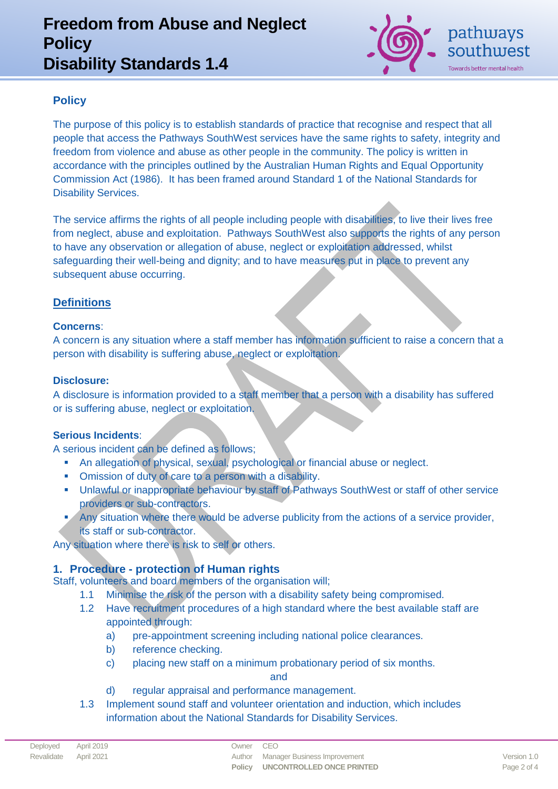# **Freedom from Abuse and Neglect Policy Disability Standards 1.4**



## **Policy**

The purpose of this policy is to establish standards of practice that recognise and respect that all people that access the Pathways SouthWest services have the same rights to safety, integrity and freedom from violence and abuse as other people in the community. The policy is written in accordance with the principles outlined by the Australian Human Rights and Equal Opportunity Commission Act (1986). It has been framed around Standard 1 of the National Standards for Disability Services.

The service affirms the rights of all people including people with disabilities, to live their lives free from neglect, abuse and exploitation. Pathways SouthWest also supports the rights of any person to have any observation or allegation of abuse, neglect or exploitation addressed, whilst safeguarding their well-being and dignity; and to have measures put in place to prevent any subsequent abuse occurring.

### **Definitions**

#### **Concerns**:

A concern is any situation where a staff member has information sufficient to raise a concern that a person with disability is suffering abuse, neglect or exploitation.

#### **Disclosure:**

A disclosure is information provided to a staff member that a person with a disability has suffered or is suffering abuse, neglect or exploitation.

#### **Serious Incidents**:

A serious incident can be defined as follows;

- An allegation of physical, sexual, psychological or financial abuse or neglect.
- Omission of duty of care to a person with a disability.
- Unlawful or inappropriate behaviour by staff of Pathways SouthWest or staff of other service providers or sub-contractors.
- Any situation where there would be adverse publicity from the actions of a service provider, its staff or sub-contractor.

Any situation where there is risk to self or others.

### **1. Procedure - protection of Human rights**

Staff, volunteers and board members of the organisation will;

- 1.1 Minimise the risk of the person with a disability safety being compromised.
- 1.2 Have recruitment procedures of a high standard where the best available staff are appointed through:
	- a) pre-appointment screening including national police clearances.
	- b) reference checking.
	- c) placing new staff on a minimum probationary period of six months.

and

- d) regular appraisal and performance management.
- 1.3 Implement sound staff and volunteer orientation and induction, which includes information about the National Standards for Disability Services.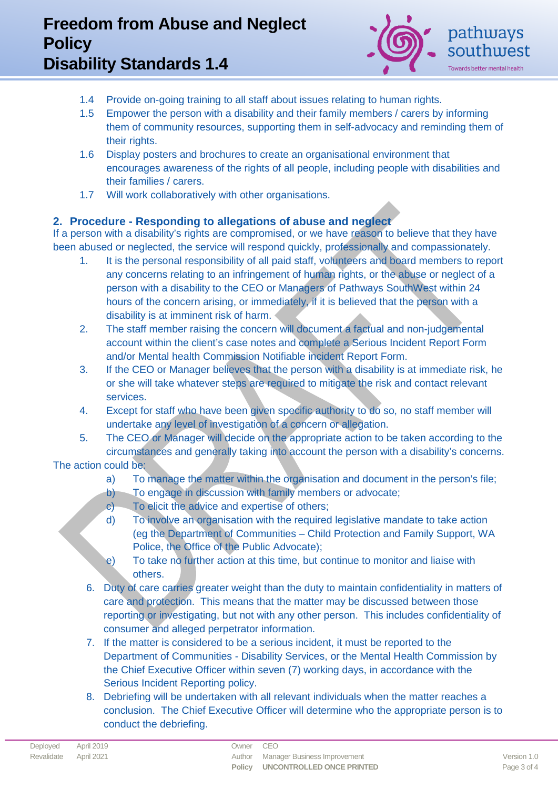# **Freedom from Abuse and Neglect Policy Disability Standards 1.4**



- 1.4 Provide on-going training to all staff about issues relating to human rights.
- 1.5 Empower the person with a disability and their family members / carers by informing them of community resources, supporting them in self-advocacy and reminding them of their rights.
- 1.6 Display posters and brochures to create an organisational environment that encourages awareness of the rights of all people, including people with disabilities and their families / carers.
- 1.7 Will work collaboratively with other organisations.

### **2. Procedure - Responding to allegations of abuse and neglect**

If a person with a disability's rights are compromised, or we have reason to believe that they have been abused or neglected, the service will respond quickly, professionally and compassionately.

- 1. It is the personal responsibility of all paid staff, volunteers and board members to report any concerns relating to an infringement of human rights, or the abuse or neglect of a person with a disability to the CEO or Managers of Pathways SouthWest within 24 hours of the concern arising, or immediately, if it is believed that the person with a disability is at imminent risk of harm.
- 2. The staff member raising the concern will document a factual and non-judgemental account within the client's case notes and complete a Serious Incident Report Form and/or Mental health Commission Notifiable incident Report Form.
- 3. If the CEO or Manager believes that the person with a disability is at immediate risk, he or she will take whatever steps are required to mitigate the risk and contact relevant services.
- 4. Except for staff who have been given specific authority to do so, no staff member will undertake any level of investigation of a concern or allegation.
- 5. The CEO or Manager will decide on the appropriate action to be taken according to the circumstances and generally taking into account the person with a disability's concerns. The action could be:
	- a) To manage the matter within the organisation and document in the person's file;
	- b) To engage in discussion with family members or advocate;
	- c) To elicit the advice and expertise of others;
	- d) To involve an organisation with the required legislative mandate to take action (eg the Department of Communities – Child Protection and Family Support, WA Police, the Office of the Public Advocate);
	- e) To take no further action at this time, but continue to monitor and liaise with others.
	- 6. Duty of care carries greater weight than the duty to maintain confidentiality in matters of care and protection. This means that the matter may be discussed between those reporting or investigating, but not with any other person. This includes confidentiality of consumer and alleged perpetrator information.
	- 7. If the matter is considered to be a serious incident, it must be reported to the Department of Communities - Disability Services, or the Mental Health Commission by the Chief Executive Officer within seven (7) working days, in accordance with the Serious Incident Reporting policy.
	- 8. Debriefing will be undertaken with all relevant individuals when the matter reaches a conclusion. The Chief Executive Officer will determine who the appropriate person is to conduct the debriefing.